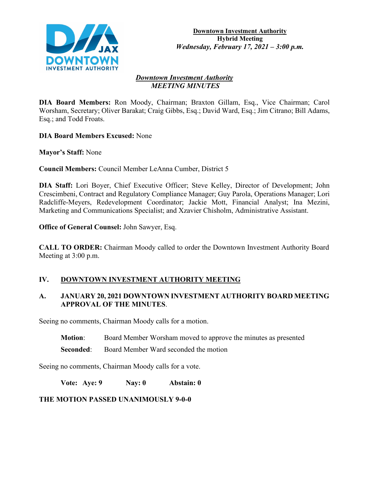

#### *Downtown Investment Authority MEETING MINUTES*

**DIA Board Members:** Ron Moody, Chairman; Braxton Gillam, Esq., Vice Chairman; Carol Worsham, Secretary; Oliver Barakat; Craig Gibbs, Esq.; David Ward, Esq.; Jim Citrano; Bill Adams, Esq.; and Todd Froats.

**DIA Board Members Excused:** None

**Mayor's Staff:** None

**Council Members:** Council Member LeAnna Cumber, District 5

**DIA Staff:** Lori Boyer, Chief Executive Officer; Steve Kelley, Director of Development; John Crescimbeni, Contract and Regulatory Compliance Manager; Guy Parola, Operations Manager; Lori Radcliffe-Meyers, Redevelopment Coordinator; Jackie Mott, Financial Analyst; Ina Mezini, Marketing and Communications Specialist; and Xzavier Chisholm, Administrative Assistant.

**Office of General Counsel:** John Sawyer, Esq.

**CALL TO ORDER:** Chairman Moody called to order the Downtown Investment Authority Board Meeting at 3:00 p.m.

# **IV. DOWNTOWN INVESTMENT AUTHORITY MEETING**

## **A. JANUARY 20, 2021 DOWNTOWN INVESTMENT AUTHORITY BOARD MEETING APPROVAL OF THE MINUTES**.

Seeing no comments, Chairman Moody calls for a motion.

- **Motion:** Board Member Worsham moved to approve the minutes as presented
- **Seconded:** Board Member Ward seconded the motion

Seeing no comments, Chairman Moody calls for a vote.

**Vote: Aye: 9 Nay: 0 Abstain: 0**

# **THE MOTION PASSED UNANIMOUSLY 9-0-0**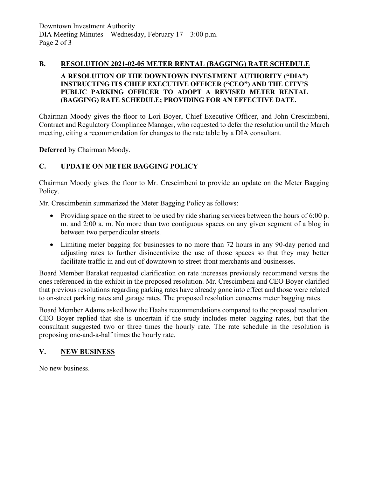### **B. RESOLUTION 2021-02-05 METER RENTAL (BAGGING) RATE SCHEDULE**

### **A RESOLUTION OF THE DOWNTOWN INVESTMENT AUTHORITY ("DIA") INSTRUCTING ITS CHIEF EXECUTIVE OFFICER ("CEO") AND THE CITY'S PUBLIC PARKING OFFICER TO ADOPT A REVISED METER RENTAL (BAGGING) RATE SCHEDULE; PROVIDING FOR AN EFFECTIVE DATE.**

Chairman Moody gives the floor to Lori Boyer, Chief Executive Officer, and John Crescimbeni, Contract and Regulatory Compliance Manager, who requested to defer the resolution until the March meeting, citing a recommendation for changes to the rate table by a DIA consultant.

**Deferred** by Chairman Moody.

## **C. UPDATE ON METER BAGGING POLICY**

Chairman Moody gives the floor to Mr. Crescimbeni to provide an update on the Meter Bagging Policy.

Mr. Crescimbenin summarized the Meter Bagging Policy as follows:

- Providing space on the street to be used by ride sharing services between the hours of 6:00 p. m. and 2:00 a. m. No more than two contiguous spaces on any given segment of a blog in between two perpendicular streets.
- Limiting meter bagging for businesses to no more than 72 hours in any 90-day period and adjusting rates to further disincentivize the use of those spaces so that they may better facilitate traffic in and out of downtown to street-front merchants and businesses.

Board Member Barakat requested clarification on rate increases previously recommend versus the ones referenced in the exhibit in the proposed resolution. Mr. Crescimbeni and CEO Boyer clarified that previous resolutions regarding parking rates have already gone into effect and those were related to on-street parking rates and garage rates. The proposed resolution concerns meter bagging rates.

Board Member Adams asked how the Haahs recommendations compared to the proposed resolution. CEO Boyer replied that she is uncertain if the study includes meter bagging rates, but that the consultant suggested two or three times the hourly rate. The rate schedule in the resolution is proposing one-and-a-half times the hourly rate.

## **V. NEW BUSINESS**

No new business.